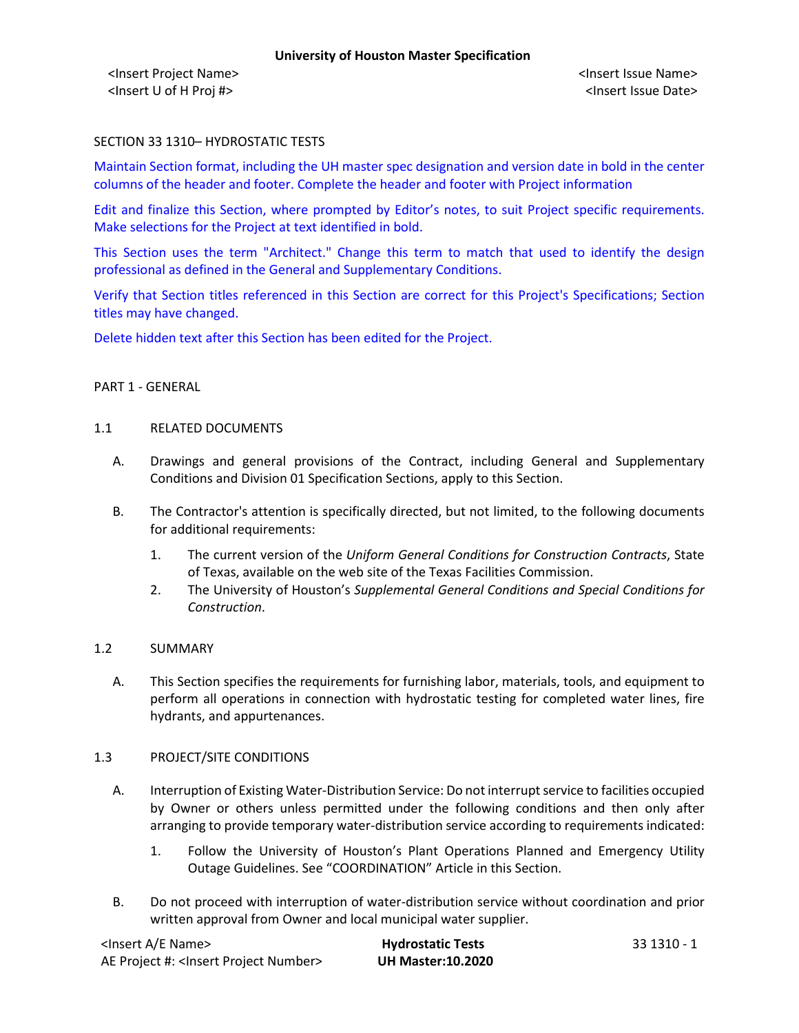<Insert Project Name> <Insert Issue Name> <Insert U of H Proj #> <Insert Issue Date>

### SECTION 33 1310– HYDROSTATIC TESTS

Maintain Section format, including the UH master spec designation and version date in bold in the center columns of the header and footer. Complete the header and footer with Project information

Edit and finalize this Section, where prompted by Editor's notes, to suit Project specific requirements. Make selections for the Project at text identified in bold.

This Section uses the term "Architect." Change this term to match that used to identify the design professional as defined in the General and Supplementary Conditions.

Verify that Section titles referenced in this Section are correct for this Project's Specifications; Section titles may have changed.

Delete hidden text after this Section has been edited for the Project.

### PART 1 - GENERAL

#### 1.1 RELATED DOCUMENTS

- A. Drawings and general provisions of the Contract, including General and Supplementary Conditions and Division 01 Specification Sections, apply to this Section.
- B. The Contractor's attention is specifically directed, but not limited, to the following documents for additional requirements:
	- 1. The current version of the *Uniform General Conditions for Construction Contracts*, State of Texas, available on the web site of the Texas Facilities Commission.
	- 2. The University of Houston's *Supplemental General Conditions and Special Conditions for Construction*.

### 1.2 SUMMARY

A. This Section specifies the requirements for furnishing labor, materials, tools, and equipment to perform all operations in connection with hydrostatic testing for completed water lines, fire hydrants, and appurtenances.

### 1.3 PROJECT/SITE CONDITIONS

- A. Interruption of Existing Water-Distribution Service: Do not interrupt service to facilities occupied by Owner or others unless permitted under the following conditions and then only after arranging to provide temporary water-distribution service according to requirements indicated:
	- 1. Follow the University of Houston's Plant Operations Planned and Emergency Utility Outage Guidelines. See "COORDINATION" Article in this Section.
- B. Do not proceed with interruption of water-distribution service without coordination and prior written approval from Owner and local municipal water supplier.

| <lnsert a="" e="" name=""></lnsert>                  | <b>Hydrostatic Tests</b> | - 33 1310 - 1 |  |
|------------------------------------------------------|--------------------------|---------------|--|
| AE Project #: <lnsert number="" project=""></lnsert> | <b>UH Master:10.2020</b> |               |  |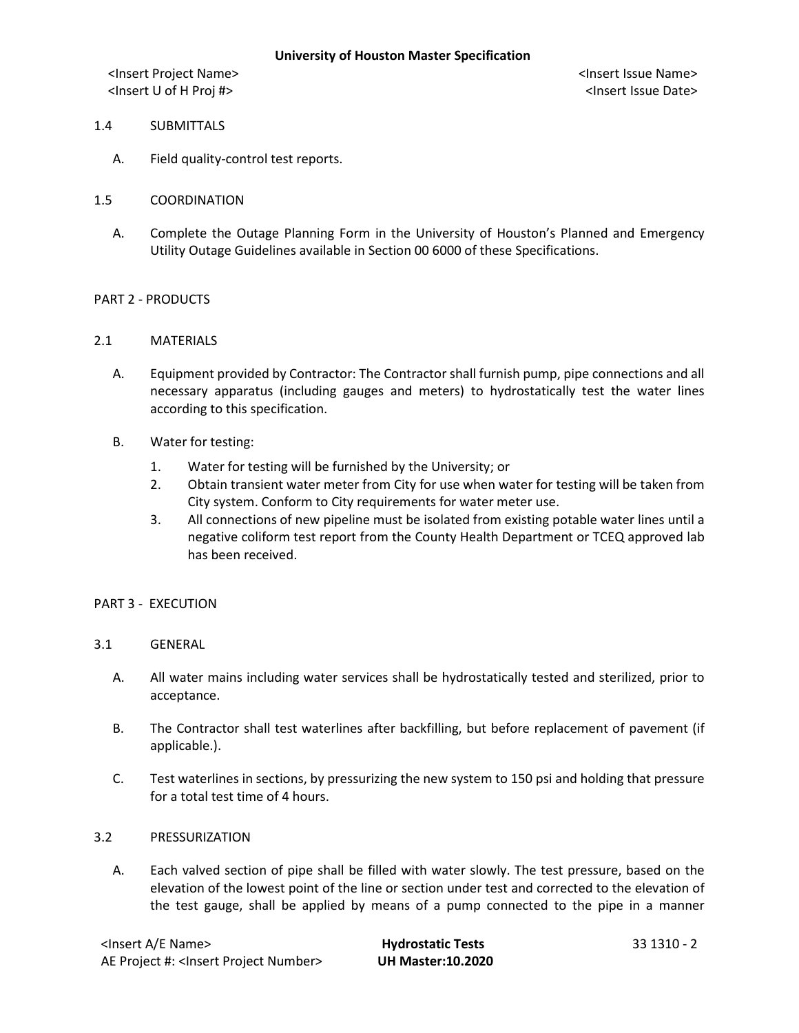<Insert Project Name> <Insert Issue Name> <Insert U of H Proj #> <Insert Issue Date>

- 1.4 SUBMITTALS
	- A. Field quality-control test reports.
- 1.5 COORDINATION
	- A. Complete the Outage Planning Form in the University of Houston's Planned and Emergency Utility Outage Guidelines available in Section 00 6000 of these Specifications.

### PART 2 - PRODUCTS

- 2.1 MATERIALS
	- A. Equipment provided by Contractor: The Contractor shall furnish pump, pipe connections and all necessary apparatus (including gauges and meters) to hydrostatically test the water lines according to this specification.
	- B. Water for testing:
		- 1. Water for testing will be furnished by the University; or
		- 2. Obtain transient water meter from City for use when water for testing will be taken from City system. Conform to City requirements for water meter use.
		- 3. All connections of new pipeline must be isolated from existing potable water lines until a negative coliform test report from the County Health Department or TCEQ approved lab has been received.

### PART 3 - EXECUTION

### 3.1 GENERAL

- A. All water mains including water services shall be hydrostatically tested and sterilized, prior to acceptance.
- B. The Contractor shall test waterlines after backfilling, but before replacement of pavement (if applicable.).
- C. Test waterlines in sections, by pressurizing the new system to 150 psi and holding that pressure for a total test time of 4 hours.

### 3.2 PRESSURIZATION

A. Each valved section of pipe shall be filled with water slowly. The test pressure, based on the elevation of the lowest point of the line or section under test and corrected to the elevation of the test gauge, shall be applied by means of a pump connected to the pipe in a manner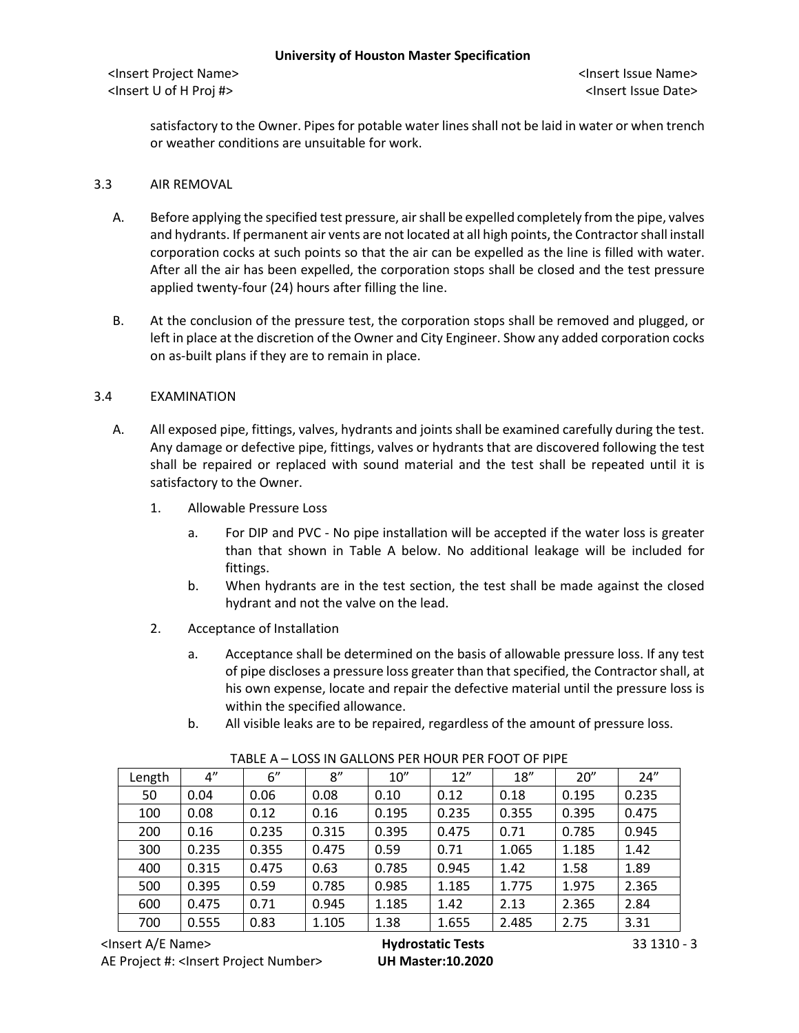<Insert Project Name> <Insert Issue Name> <Insert U of H Proj #> <Insert Issue Date>

satisfactory to the Owner. Pipes for potable water lines shall not be laid in water or when trench or weather conditions are unsuitable for work.

### 3.3 AIR REMOVAL

- A. Before applying the specified test pressure, air shall be expelled completely from the pipe, valves and hydrants. If permanent air vents are not located at all high points, the Contractor shall install corporation cocks at such points so that the air can be expelled as the line is filled with water. After all the air has been expelled, the corporation stops shall be closed and the test pressure applied twenty-four (24) hours after filling the line.
- B. At the conclusion of the pressure test, the corporation stops shall be removed and plugged, or left in place at the discretion of the Owner and City Engineer. Show any added corporation cocks on as-built plans if they are to remain in place.

## 3.4 EXAMINATION

- A. All exposed pipe, fittings, valves, hydrants and joints shall be examined carefully during the test. Any damage or defective pipe, fittings, valves or hydrants that are discovered following the test shall be repaired or replaced with sound material and the test shall be repeated until it is satisfactory to the Owner.
	- 1. Allowable Pressure Loss
		- a. For DIP and PVC No pipe installation will be accepted if the water loss is greater than that shown in Table A below. No additional leakage will be included for fittings.
		- b. When hydrants are in the test section, the test shall be made against the closed hydrant and not the valve on the lead.
	- 2. Acceptance of Installation
		- a. Acceptance shall be determined on the basis of allowable pressure loss. If any test of pipe discloses a pressure loss greater than that specified, the Contractor shall, at his own expense, locate and repair the defective material until the pressure loss is within the specified allowance.
		- b. All visible leaks are to be repaired, regardless of the amount of pressure loss.

| Length | 4"    | 6''   | 8''   | 10''  | 12''  | 18''  | 20''  | 24''  |
|--------|-------|-------|-------|-------|-------|-------|-------|-------|
| 50     | 0.04  | 0.06  | 0.08  | 0.10  | 0.12  | 0.18  | 0.195 | 0.235 |
| 100    | 0.08  | 0.12  | 0.16  | 0.195 | 0.235 | 0.355 | 0.395 | 0.475 |
| 200    | 0.16  | 0.235 | 0.315 | 0.395 | 0.475 | 0.71  | 0.785 | 0.945 |
| 300    | 0.235 | 0.355 | 0.475 | 0.59  | 0.71  | 1.065 | 1.185 | 1.42  |
| 400    | 0.315 | 0.475 | 0.63  | 0.785 | 0.945 | 1.42  | 1.58  | 1.89  |
| 500    | 0.395 | 0.59  | 0.785 | 0.985 | 1.185 | 1.775 | 1.975 | 2.365 |
| 600    | 0.475 | 0.71  | 0.945 | 1.185 | 1.42  | 2.13  | 2.365 | 2.84  |
| 700    | 0.555 | 0.83  | 1.105 | 1.38  | 1.655 | 2.485 | 2.75  | 3.31  |

### TABLE A – LOSS IN GALLONS PER HOUR PER FOOT OF PIPE

<Insert A/E Name> **Hydrostatic Tests** 33 1310 - 3 AE Project #: <Insert Project Number> **UH Master:10.2020**